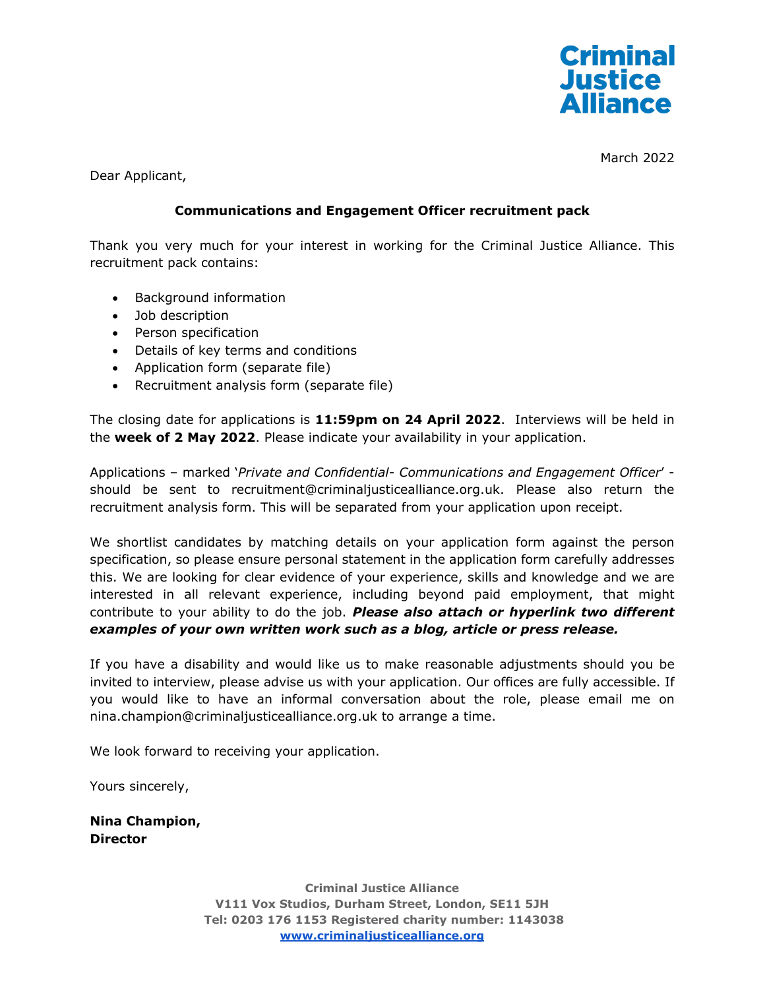

March 2022

Dear Applicant,

# **Communications and Engagement Officer recruitment pack**

Thank you very much for your interest in working for the Criminal Justice Alliance. This recruitment pack contains:

- Background information
- Job description
- Person specification
- Details of key terms and conditions
- Application form (separate file)
- Recruitment analysis form (separate file)

The closing date for applications is **11:59pm on 24 April 2022**. Interviews will be held in the **week of 2 May 2022**. Please indicate your availability in your application.

Applications – marked '*Private and Confidential- Communications and Engagement Officer*' should be sent to recruitment@criminaljusticealliance.org.uk. Please also return the recruitment analysis form. This will be separated from your application upon receipt.

We shortlist candidates by matching details on your application form against the person specification, so please ensure personal statement in the application form carefully addresses this. We are looking for clear evidence of your experience, skills and knowledge and we are interested in all relevant experience, including beyond paid employment, that might contribute to your ability to do the job. *Please also attach or hyperlink two different examples of your own written work such as a blog, article or press release.*

If you have a disability and would like us to make reasonable adjustments should you be invited to interview, please advise us with your application. Our offices are fully accessible. If you would like to have an informal conversation about the role, please email me on nina.champion@criminaljusticealliance.org.uk to arrange a time.

We look forward to receiving your application.

Yours sincerely,

**Nina Champion, Director** 

> **Criminal Justice Alliance V111 Vox Studios, Durham Street, London, SE11 5JH Tel: 0203 176 1153 Registered charity number: 1143038 [www.criminaljusticealliance.org](http://www.criminaljusticealliance.org/)**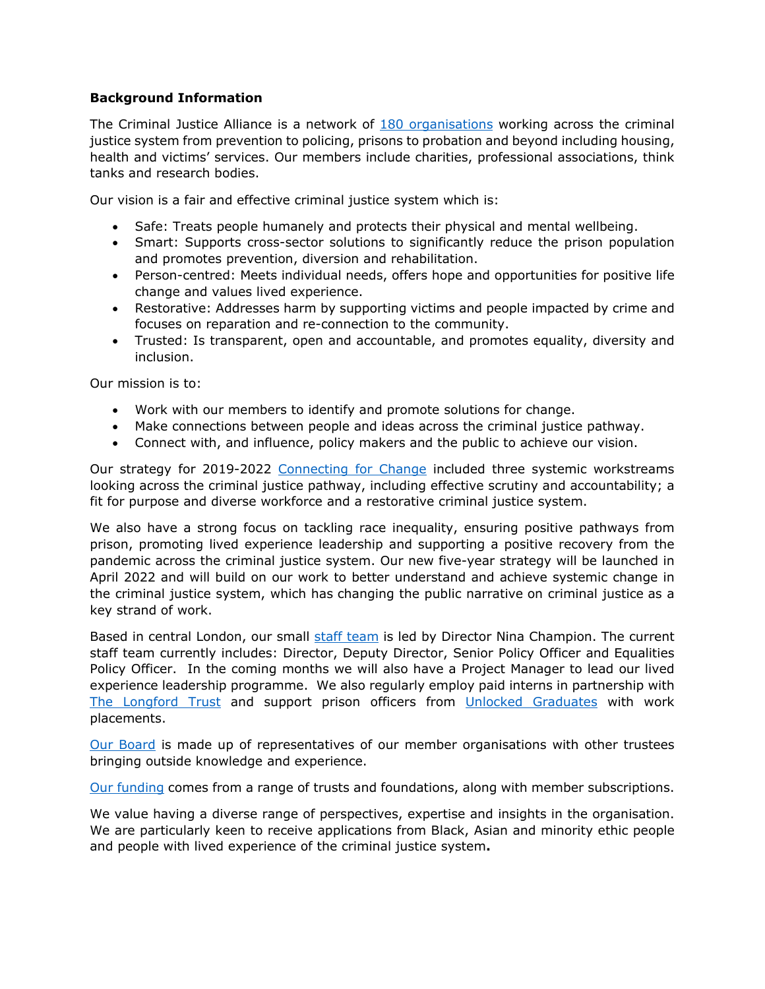#### **Background Information**

The Criminal Justice Alliance is a network of [180 organisations](https://www.criminaljusticealliance.org/members/) working across the criminal justice system from prevention to policing, prisons to probation and beyond including housing, health and victims' services. Our members include charities, professional associations, think tanks and research bodies.

Our vision is a fair and effective criminal justice system which is:

- Safe: Treats people humanely and protects their physical and mental wellbeing.
- Smart: Supports cross-sector solutions to significantly reduce the prison population and promotes prevention, diversion and rehabilitation.
- Person-centred: Meets individual needs, offers hope and opportunities for positive life change and values lived experience.
- Restorative: Addresses harm by supporting victims and people impacted by crime and focuses on reparation and re-connection to the community.
- Trusted: Is transparent, open and accountable, and promotes equality, diversity and inclusion.

Our mission is to:

- Work with our members to identify and promote solutions for change.
- Make connections between people and ideas across the criminal justice pathway.
- Connect with, and influence, policy makers and the public to achieve our vision.

Our strategy for 2019-2022 [Connecting for Change](https://www.criminaljusticealliance.org/cja-resources/cja-strategy-2019-2022-connecting-for-change/) included three systemic workstreams looking across the criminal justice pathway, including effective scrutiny and accountability; a fit for purpose and diverse workforce and a restorative criminal justice system.

We also have a strong focus on tackling race inequality, ensuring positive pathways from prison, promoting lived experience leadership and supporting a positive recovery from the pandemic across the criminal justice system. Our new five-year strategy will be launched in April 2022 and will build on our work to better understand and achieve systemic change in the criminal justice system, which has changing the public narrative on criminal justice as a key strand of work.

Based in central London, our small [staff team](https://www.criminaljusticealliance.org/about-the-cja/our-staff-trustees/) is led by Director Nina Champion. The current staff team currently includes: Director, Deputy Director, Senior Policy Officer and Equalities Policy Officer. In the coming months we will also have a Project Manager to lead our lived experience leadership programme. We also regularly employ paid interns in partnership with [The Longford Trust](https://www.longfordtrust.org/) and support prison officers from [Unlocked Graduates](https://unlockedgrads.org.uk/) with work placements.

[Our Board](https://www.criminaljusticealliance.org/about-the-cja/our-staff-trustees/) is made up of representatives of our member organisations with other trustees bringing outside knowledge and experience.

[Our funding](https://www.criminaljusticealliance.org/about-the-cja/) comes from a range of trusts and foundations, along with member subscriptions.

We value having a diverse range of perspectives, expertise and insights in the organisation. We are particularly keen to receive applications from Black, Asian and minority ethic people and people with lived experience of the criminal justice system**.**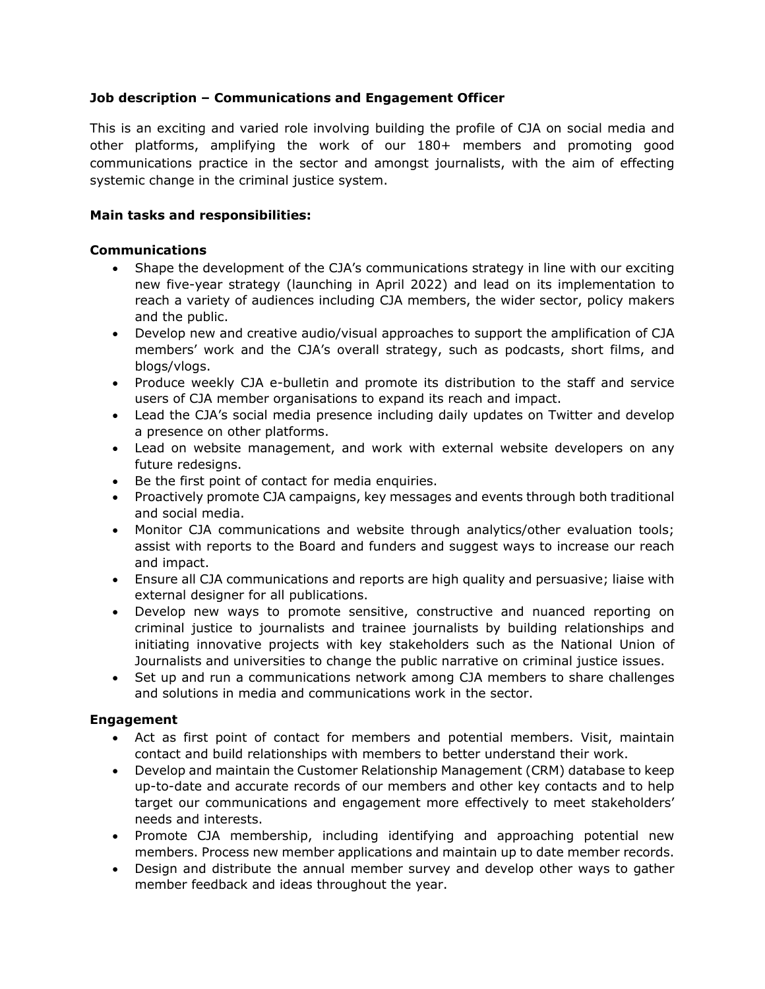# **Job description – Communications and Engagement Officer**

This is an exciting and varied role involving building the profile of CJA on social media and other platforms, amplifying the work of our 180+ members and promoting good communications practice in the sector and amongst journalists, with the aim of effecting systemic change in the criminal justice system.

# **Main tasks and responsibilities:**

#### **Communications**

- Shape the development of the CJA's communications strategy in line with our exciting new five-year strategy (launching in April 2022) and lead on its implementation to reach a variety of audiences including CJA members, the wider sector, policy makers and the public.
- Develop new and creative audio/visual approaches to support the amplification of CJA members' work and the CJA's overall strategy, such as podcasts, short films, and blogs/vlogs.
- Produce weekly CJA e-bulletin and promote its distribution to the staff and service users of CJA member organisations to expand its reach and impact.
- Lead the CJA's social media presence including daily updates on Twitter and develop a presence on other platforms.
- Lead on website management, and work with external website developers on any future redesigns.
- Be the first point of contact for media enquiries.
- Proactively promote CJA campaigns, key messages and events through both traditional and social media.
- Monitor CJA communications and website through analytics/other evaluation tools; assist with reports to the Board and funders and suggest ways to increase our reach and impact.
- Ensure all CJA communications and reports are high quality and persuasive; liaise with external designer for all publications.
- Develop new ways to promote sensitive, constructive and nuanced reporting on criminal justice to journalists and trainee journalists by building relationships and initiating innovative projects with key stakeholders such as the National Union of Journalists and universities to change the public narrative on criminal justice issues.
- Set up and run a communications network among CJA members to share challenges and solutions in media and communications work in the sector.

# **Engagement**

- Act as first point of contact for members and potential members. Visit, maintain contact and build relationships with members to better understand their work.
- Develop and maintain the Customer Relationship Management (CRM) database to keep up-to-date and accurate records of our members and other key contacts and to help target our communications and engagement more effectively to meet stakeholders' needs and interests.
- Promote CJA membership, including identifying and approaching potential new members. Process new member applications and maintain up to date member records.
- Design and distribute the annual member survey and develop other ways to gather member feedback and ideas throughout the year.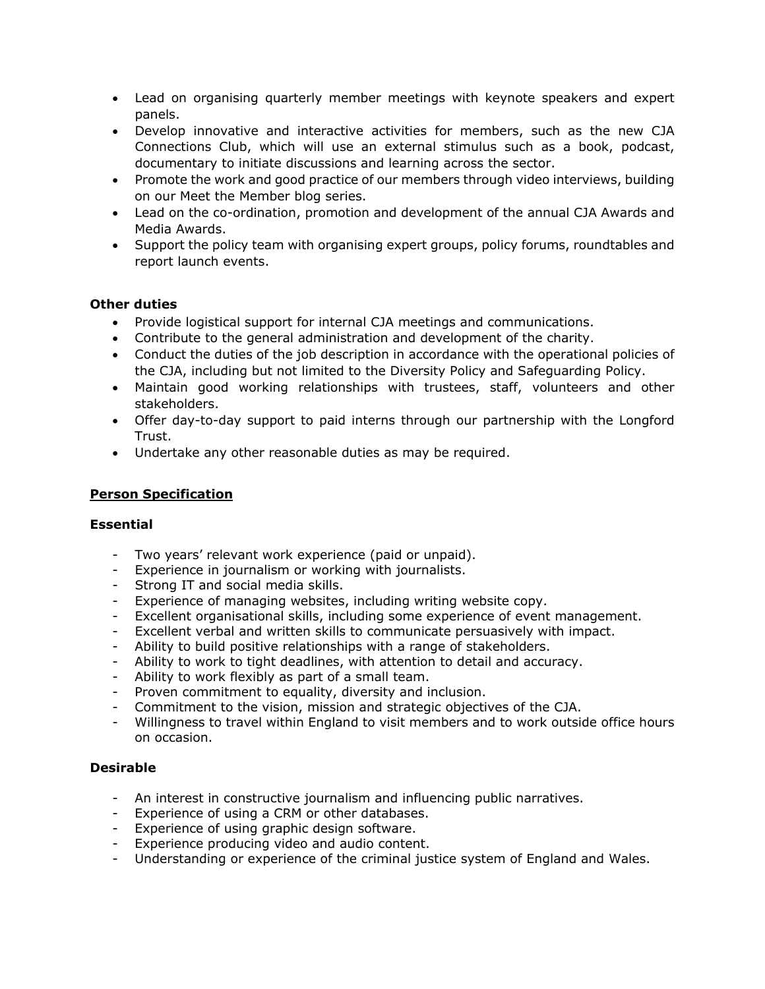- Lead on organising quarterly member meetings with keynote speakers and expert panels.
- Develop innovative and interactive activities for members, such as the new CJA Connections Club, which will use an external stimulus such as a book, podcast, documentary to initiate discussions and learning across the sector.
- Promote the work and good practice of our members through video interviews, building on our Meet the Member blog series.
- Lead on the co-ordination, promotion and development of the annual CJA Awards and Media Awards.
- Support the policy team with organising expert groups, policy forums, roundtables and report launch events.

# **Other duties**

- Provide logistical support for internal CJA meetings and communications.
- Contribute to the general administration and development of the charity.
- Conduct the duties of the job description in accordance with the operational policies of the CJA, including but not limited to the Diversity Policy and Safeguarding Policy.
- Maintain good working relationships with trustees, staff, volunteers and other stakeholders.
- Offer day-to-day support to paid interns through our partnership with the Longford Trust.
- Undertake any other reasonable duties as may be required.

# **Person Specification**

# **Essential**

- Two years' relevant work experience (paid or unpaid).
- Experience in journalism or working with journalists.
- Strong IT and social media skills.
- Experience of managing websites, including writing website copy.
- Excellent organisational skills, including some experience of event management.
- Excellent verbal and written skills to communicate persuasively with impact.
- Ability to build positive relationships with a range of stakeholders.
- Ability to work to tight deadlines, with attention to detail and accuracy.
- Ability to work flexibly as part of a small team.
- Proven commitment to equality, diversity and inclusion.
- Commitment to the vision, mission and strategic objectives of the CJA.
- Willingness to travel within England to visit members and to work outside office hours on occasion.

#### **Desirable**

- An interest in constructive journalism and influencing public narratives.
- Experience of using a CRM or other databases.
- Experience of using graphic design software.
- Experience producing video and audio content.
- Understanding or experience of the criminal justice system of England and Wales.